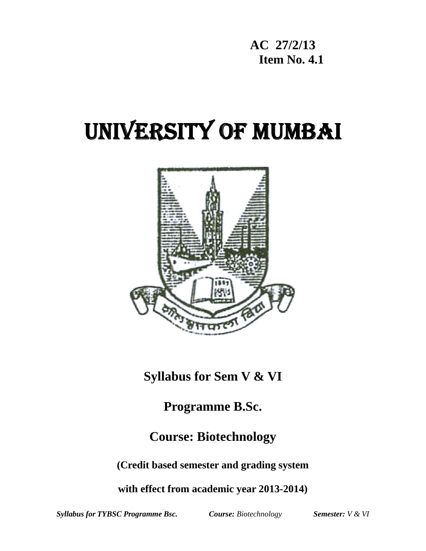**AC 27/2/13 Item No. 4.1** 

# UNIVERSITY OF MUMBAI



**Syllabus for Sem V & VI** 

**Programme B.Sc.** 

**Course: Biotechnology** 

**(Credit based semester and grading system** 

**with effect from academic year 2013-2014)** 

*Syllabus for TYBSC Programme Bsc. Course: Biotechnology Semester: V & VI*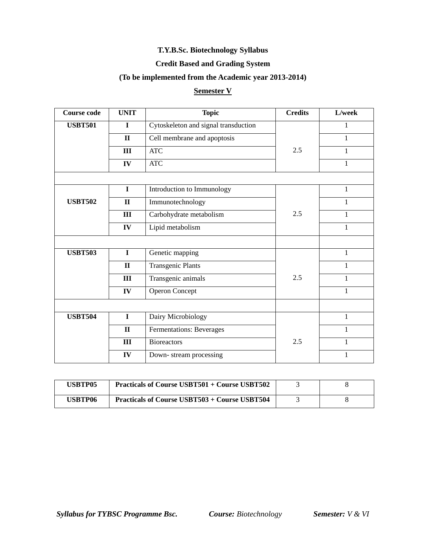#### **T.Y.B.Sc. Biotechnology Syllabus**

### **Credit Based and Grading System**

#### **(To be implemented from the Academic year 2013-2014)**

## **Semester V**

| <b>Course code</b> | <b>UNIT</b>  | <b>Topic</b>                         | <b>Credits</b> | L/week       |
|--------------------|--------------|--------------------------------------|----------------|--------------|
| <b>USBT501</b>     | $\mathbf I$  | Cytoskeleton and signal transduction |                | 1            |
|                    | $\mathbf{I}$ | Cell membrane and apoptosis          |                | 1            |
|                    | III          | <b>ATC</b>                           | 2.5            | 1            |
|                    | IV           | <b>ATC</b>                           |                | $\mathbf{1}$ |
|                    |              |                                      |                |              |
|                    | $\mathbf I$  | Introduction to Immunology           |                | $\mathbf{1}$ |
| <b>USBT502</b>     | $\mathbf{I}$ | Immunotechnology                     |                | 1            |
|                    | III          | Carbohydrate metabolism              | 2.5            | 1            |
|                    | IV           | Lipid metabolism                     |                | 1            |
|                    |              |                                      |                |              |
| <b>USBT503</b>     | $\mathbf I$  | Genetic mapping                      |                | $\mathbf{1}$ |
|                    | $\mathbf{I}$ | <b>Transgenic Plants</b>             |                | 1            |
|                    | III          | Transgenic animals                   | 2.5            | 1            |
|                    | IV           | <b>Operon Concept</b>                |                | 1            |
|                    |              |                                      |                |              |
| <b>USBT504</b>     | $\mathbf I$  | Dairy Microbiology                   |                | $\mathbf{1}$ |
|                    | $\mathbf{I}$ | Fermentations: Beverages             |                | 1            |
|                    | III          | <b>Bioreactors</b>                   | 2.5            | 1            |
|                    | IV           | Down-stream processing               |                | 1            |

| <b>USBTP05</b> | <b>Practicals of Course USBT501 + Course USBT502</b> |  |
|----------------|------------------------------------------------------|--|
| USBTP06        | <b>Practicals of Course USBT503 + Course USBT504</b> |  |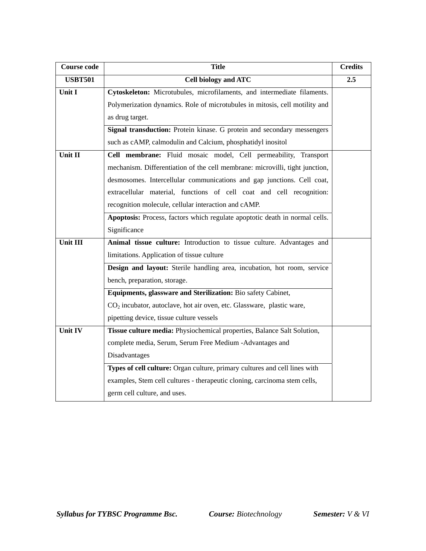| <b>Course code</b> | <b>Title</b>                                                                      | <b>Credits</b> |  |
|--------------------|-----------------------------------------------------------------------------------|----------------|--|
| <b>USBT501</b>     | <b>Cell biology and ATC</b>                                                       | 2.5            |  |
| Unit I             | Cytoskeleton: Microtubules, microfilaments, and intermediate filaments.           |                |  |
|                    | Polymerization dynamics. Role of microtubules in mitosis, cell motility and       |                |  |
|                    | as drug target.                                                                   |                |  |
|                    | Signal transduction: Protein kinase. G protein and secondary messengers           |                |  |
|                    | such as cAMP, calmodulin and Calcium, phosphatidyl inositol                       |                |  |
| Unit II            | Cell membrane: Fluid mosaic model, Cell permeability, Transport                   |                |  |
|                    | mechanism. Differentiation of the cell membrane: microvilli, tight junction,      |                |  |
|                    | desmosomes. Intercellular communications and gap junctions. Cell coat,            |                |  |
|                    | extracellular material, functions of cell coat and cell recognition:              |                |  |
|                    | recognition molecule, cellular interaction and cAMP.                              |                |  |
|                    | Apoptosis: Process, factors which regulate apoptotic death in normal cells.       |                |  |
|                    | Significance                                                                      |                |  |
| Unit III           | Animal tissue culture: Introduction to tissue culture. Advantages and             |                |  |
|                    | limitations. Application of tissue culture                                        |                |  |
|                    | Design and layout: Sterile handling area, incubation, hot room, service           |                |  |
|                    | bench, preparation, storage.                                                      |                |  |
|                    | Equipments, glassware and Sterilization: Bio safety Cabinet,                      |                |  |
|                    | CO <sub>2</sub> incubator, autoclave, hot air oven, etc. Glassware, plastic ware, |                |  |
|                    | pipetting device, tissue culture vessels                                          |                |  |
| <b>Unit IV</b>     | Tissue culture media: Physiochemical properties, Balance Salt Solution,           |                |  |
|                    | complete media, Serum, Serum Free Medium -Advantages and                          |                |  |
|                    | Disadvantages                                                                     |                |  |
|                    | Types of cell culture: Organ culture, primary cultures and cell lines with        |                |  |
|                    | examples, Stem cell cultures - therapeutic cloning, carcinoma stem cells,         |                |  |
|                    | germ cell culture, and uses.                                                      |                |  |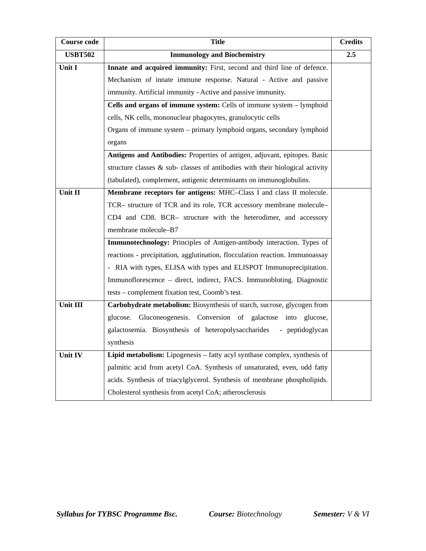| <b>Course code</b> | <b>Title</b>                                                                    |     |  |  |
|--------------------|---------------------------------------------------------------------------------|-----|--|--|
| <b>USBT502</b>     | <b>Immunology and Biochemistry</b>                                              | 2.5 |  |  |
| Unit I             | Innate and acquired immunity: First, second and third line of defence.          |     |  |  |
|                    | Mechanism of innate immune response. Natural - Active and passive               |     |  |  |
|                    | immunity. Artificial immunity - Active and passive immunity.                    |     |  |  |
|                    | Cells and organs of immune system: Cells of immune system - lymphoid            |     |  |  |
|                    | cells, NK cells, mononuclear phagocytes, granulocytic cells                     |     |  |  |
|                    | Organs of immune system - primary lymphoid organs, secondary lymphoid           |     |  |  |
|                    | organs                                                                          |     |  |  |
|                    | Antigens and Antibodies: Properties of antigen, adjuvant, epitopes. Basic       |     |  |  |
|                    | structure classes $\&$ sub-classes of antibodies with their biological activity |     |  |  |
|                    | (tabulated), complement, antigenic determinants on immunoglobulins.             |     |  |  |
| Unit II            | Membrane receptors for antigens: MHC-Class I and class II molecule.             |     |  |  |
|                    | TCR- structure of TCR and its role, TCR accessory membrane molecule-            |     |  |  |
|                    | CD4 and CD8. BCR- structure with the heterodimer, and accessory                 |     |  |  |
|                    | membrane molecule-B7                                                            |     |  |  |
|                    | Immunotechnology: Principles of Antigen-antibody interaction. Types of          |     |  |  |
|                    | reactions - precipitation, agglutination, flocculation reaction. Immunoassay    |     |  |  |
|                    | - RIA with types, ELISA with types and ELISPOT Immunoprecipitation.             |     |  |  |
|                    | Immunoflorescence – direct, indirect, FACS. Immunobloting. Diagnostic           |     |  |  |
|                    | tests – complement fixation test, Coomb's test.                                 |     |  |  |
| Unit III           | Carbohydrate metabolism: Biosynthesis of starch, sucrose, glycogen from         |     |  |  |
|                    | glucose. Gluconeogenesis. Conversion of galactose into glucose,                 |     |  |  |
|                    | galactosemia. Biosynthesis of heteropolysaccharides - peptidoglycan             |     |  |  |
|                    | synthesis                                                                       |     |  |  |
| Unit IV            | Lipid metabolism: Lipogenesis – fatty acyl synthase complex, synthesis of       |     |  |  |
|                    | palmitic acid from acetyl CoA. Synthesis of unsaturated, even, odd fatty        |     |  |  |
|                    | acids. Synthesis of triacylglycerol. Synthesis of membrane phospholipids.       |     |  |  |
|                    | Cholesterol synthesis from acetyl CoA; atherosclerosis                          |     |  |  |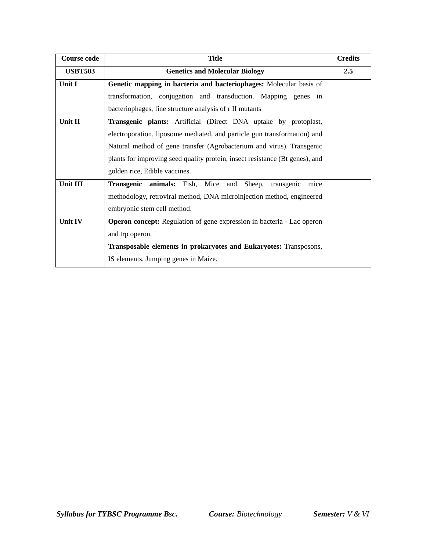| <b>Course code</b> | <b>Title</b>                                                                 | <b>Credits</b> |  |  |
|--------------------|------------------------------------------------------------------------------|----------------|--|--|
| <b>USBT503</b>     | <b>Genetics and Molecular Biology</b>                                        | 2.5            |  |  |
| Unit I             | Genetic mapping in bacteria and bacteriophages: Molecular basis of           |                |  |  |
|                    | transformation, conjugation and transduction. Mapping genes in               |                |  |  |
|                    | bacteriophages, fine structure analysis of r II mutants                      |                |  |  |
| Unit II            | Transgenic plants: Artificial (Direct DNA uptake by protoplast,              |                |  |  |
|                    | electroporation, liposome mediated, and particle gun transformation) and     |                |  |  |
|                    | Natural method of gene transfer (Agrobacterium and virus). Transgenic        |                |  |  |
|                    | plants for improving seed quality protein, insect resistance (Bt genes), and |                |  |  |
|                    | golden rice, Edible vaccines.                                                |                |  |  |
| Unit III           | <b>Transgenic animals:</b> Fish, Mice and<br>Sheep,<br>transgenic<br>mice    |                |  |  |
|                    | methodology, retroviral method, DNA microinjection method, engineered        |                |  |  |
|                    | embryonic stem cell method.                                                  |                |  |  |
| Unit IV            | Operon concept: Regulation of gene expression in bacteria - Lac operon       |                |  |  |
|                    | and trp operon.                                                              |                |  |  |
|                    | Transposable elements in prokaryotes and Eukaryotes: Transposons,            |                |  |  |
|                    | IS elements, Jumping genes in Maize.                                         |                |  |  |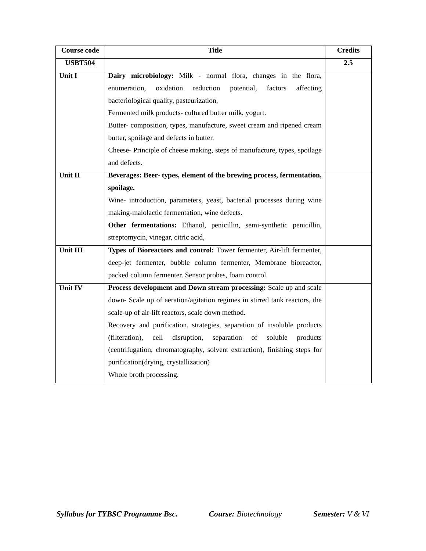| <b>Course code</b> | <b>Title</b>                                                                     | <b>Credits</b> |
|--------------------|----------------------------------------------------------------------------------|----------------|
| <b>USBT504</b>     |                                                                                  | 2.5            |
| Unit I             | Dairy microbiology: Milk - normal flora, changes in the flora,                   |                |
|                    | reduction<br>enumeration,<br>oxidation<br>potential,<br>factors<br>affecting     |                |
|                    | bacteriological quality, pasteurization,                                         |                |
|                    | Fermented milk products- cultured butter milk, yogurt.                           |                |
|                    | Butter-composition, types, manufacture, sweet cream and ripened cream            |                |
|                    | butter, spoilage and defects in butter.                                          |                |
|                    | Cheese- Principle of cheese making, steps of manufacture, types, spoilage        |                |
|                    | and defects.                                                                     |                |
| Unit II            | Beverages: Beer-types, element of the brewing process, fermentation,             |                |
|                    | spoilage.                                                                        |                |
|                    | Wine- introduction, parameters, yeast, bacterial processes during wine           |                |
|                    | making-malolactic fermentation, wine defects.                                    |                |
|                    | Other fermentations: Ethanol, penicillin, semi-synthetic penicillin,             |                |
|                    | streptomycin, vinegar, citric acid,                                              |                |
| Unit III           | Types of Bioreactors and control: Tower fermenter, Air-lift fermenter,           |                |
|                    | deep-jet fermenter, bubble column fermenter, Membrane bioreactor,                |                |
|                    | packed column fermenter. Sensor probes, foam control.                            |                |
| Unit IV            | Process development and Down stream processing: Scale up and scale               |                |
|                    | down- Scale up of aeration/agitation regimes in stirred tank reactors, the       |                |
|                    | scale-up of air-lift reactors, scale down method.                                |                |
|                    | Recovery and purification, strategies, separation of insoluble products          |                |
|                    | cell<br>soluble<br>(filteration),<br>disruption,<br>separation<br>of<br>products |                |
|                    | (centrifugation, chromatography, solvent extraction), finishing steps for        |                |
|                    | purification(drying, crystallization)                                            |                |
|                    | Whole broth processing.                                                          |                |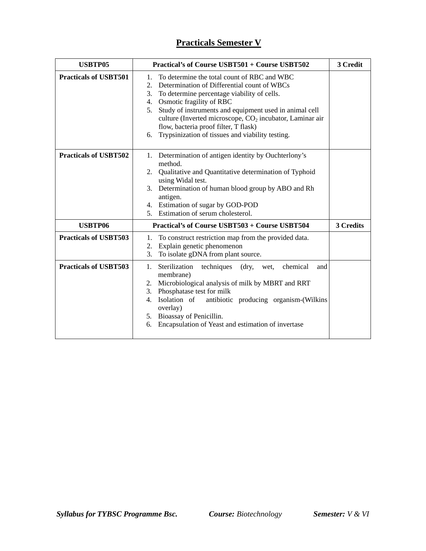# **Practicals Semester V**

| <b>USBTP05</b>               | Practical's of Course USBT501 + Course USBT502                                                                                                                                                                                                                                                                                                                                                                                           | 3 Credit  |  |
|------------------------------|------------------------------------------------------------------------------------------------------------------------------------------------------------------------------------------------------------------------------------------------------------------------------------------------------------------------------------------------------------------------------------------------------------------------------------------|-----------|--|
| <b>Practicals of USBT501</b> | To determine the total count of RBC and WBC<br>1.<br>Determination of Differential count of WBCs<br>2.<br>To determine percentage viability of cells.<br>3.<br>Osmotic fragility of RBC<br>4.<br>Study of instruments and equipment used in animal cell<br>5.<br>culture (Inverted microscope, CO <sub>2</sub> incubator, Laminar air<br>flow, bacteria proof filter, T flask)<br>Trypsinization of tissues and viability testing.<br>6. |           |  |
| <b>Practicals of USBT502</b> | 1. Determination of antigen identity by Ouchterlony's<br>method.<br>2. Qualitative and Quantitative determination of Typhoid<br>using Widal test.<br>3. Determination of human blood group by ABO and Rh<br>antigen.<br>4. Estimation of sugar by GOD-POD<br>5. Estimation of serum cholesterol.                                                                                                                                         |           |  |
| <b>USBTP06</b>               | Practical's of Course USBT503 + Course USBT504                                                                                                                                                                                                                                                                                                                                                                                           | 3 Credits |  |
| <b>Practicals of USBT503</b> | To construct restriction map from the provided data.<br>1.<br>Explain genetic phenomenon<br>2.<br>To isolate gDNA from plant source.<br>3.                                                                                                                                                                                                                                                                                               |           |  |
| <b>Practicals of USBT503</b> | 1. Sterilization<br>chemical<br>techniques<br>$\langle$ dry,<br>wet,<br>and<br>membrane)<br>2. Microbiological analysis of milk by MBRT and RRT<br>3. Phosphatase test for milk<br>4. Isolation of<br>antibiotic producing organism-(Wilkins<br>overlay)<br>5. Bioassay of Penicillin.<br>Encapsulation of Yeast and estimation of invertase<br>6.                                                                                       |           |  |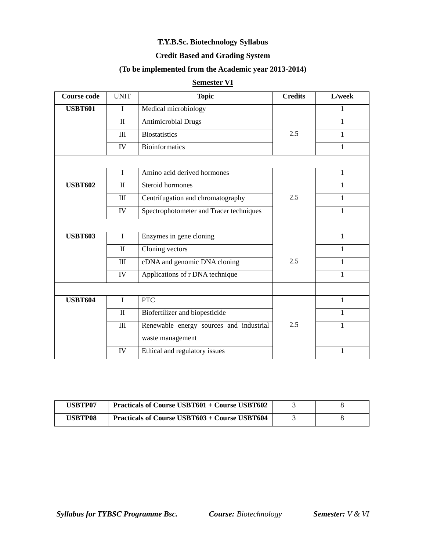#### **T.Y.B.Sc. Biotechnology Syllabus**

# **Credit Based and Grading System**

#### **(To be implemented from the Academic year 2013-2014)**

## **Semester VI**

| <b>Course code</b> | <b>UNIT</b>        | <b>Topic</b>                            | <b>Credits</b> | L/week       |
|--------------------|--------------------|-----------------------------------------|----------------|--------------|
| <b>USBT601</b>     | I                  | Medical microbiology                    |                | 1            |
|                    | $\mathbf{I}$       | <b>Antimicrobial Drugs</b>              |                | 1            |
|                    | III                | <b>Biostatistics</b>                    | 2.5            | 1            |
|                    | IV                 | <b>Bioinformatics</b>                   |                | 1            |
|                    |                    |                                         |                |              |
|                    | I                  | Amino acid derived hormones             |                | 1            |
| <b>USBT602</b>     | $\mathbf{I}$       | Steroid hormones                        |                | 1            |
|                    | $\rm III$          | Centrifugation and chromatography       | 2.5            | 1            |
|                    | IV                 | Spectrophotometer and Tracer techniques |                | 1            |
|                    |                    |                                         |                |              |
| <b>USBT603</b>     | $\mathbf I$        | Enzymes in gene cloning                 |                | $\mathbf{1}$ |
|                    | $\mathbf{I}$       | Cloning vectors                         |                | 1            |
|                    | $\mathop{\rm III}$ | cDNA and genomic DNA cloning            | 2.5            | 1            |
|                    | IV                 | Applications of r DNA technique         |                | 1            |
|                    |                    |                                         |                |              |
| <b>USBT604</b>     | $\mathbf I$        | <b>PTC</b>                              |                | $\mathbf{1}$ |
|                    | $\rm II$           | Biofertilizer and biopesticide          |                | 1            |
|                    | $\rm III$          | Renewable energy sources and industrial | 2.5            | 1            |
|                    |                    | waste management                        |                |              |
|                    | IV                 | Ethical and regulatory issues           |                | 1            |

| USBTP07 | <b>Practicals of Course USBT601 + Course USBT602</b> |  |
|---------|------------------------------------------------------|--|
| USBTP08 | <b>Practicals of Course USBT603 + Course USBT604</b> |  |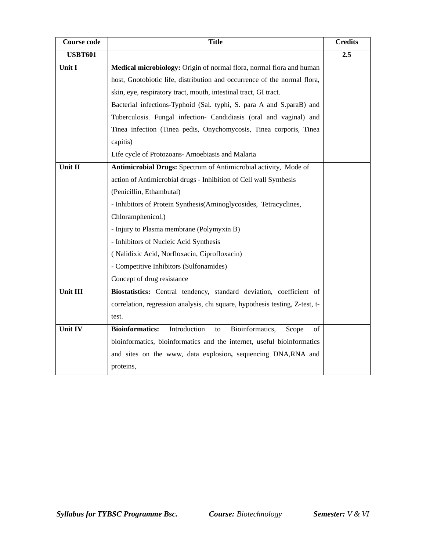| <b>Course code</b> | <b>Title</b>                                                                   | <b>Credits</b> |
|--------------------|--------------------------------------------------------------------------------|----------------|
| <b>USBT601</b>     |                                                                                | 2.5            |
| Unit I             | Medical microbiology: Origin of normal flora, normal flora and human           |                |
|                    | host, Gnotobiotic life, distribution and occurrence of the normal flora,       |                |
|                    | skin, eye, respiratory tract, mouth, intestinal tract, GI tract.               |                |
|                    | Bacterial infections-Typhoid (Sal. typhi, S. para A and S.paraB) and           |                |
|                    | Tuberculosis. Fungal infection- Candidiasis (oral and vaginal) and             |                |
|                    | Tinea infection (Tinea pedis, Onychomycosis, Tinea corporis, Tinea             |                |
|                    | capitis)                                                                       |                |
|                    | Life cycle of Protozoans- Amoebiasis and Malaria                               |                |
| Unit II            | Antimicrobial Drugs: Spectrum of Antimicrobial activity, Mode of               |                |
|                    | action of Antimicrobial drugs - Inhibition of Cell wall Synthesis              |                |
|                    | (Penicillin, Ethambutal)                                                       |                |
|                    | - Inhibitors of Protein Synthesis(Aminoglycosides, Tetracyclines,              |                |
|                    | Chloramphenicol,)                                                              |                |
|                    | - Injury to Plasma membrane (Polymyxin B)                                      |                |
|                    | - Inhibitors of Nucleic Acid Synthesis                                         |                |
|                    | (Nalidixic Acid, Norfloxacin, Ciprofloxacin)                                   |                |
|                    | - Competitive Inhibitors (Sulfonamides)                                        |                |
|                    | Concept of drug resistance                                                     |                |
| Unit III           | Biostatistics: Central tendency, standard deviation, coefficient of            |                |
|                    | correlation, regression analysis, chi square, hypothesis testing, Z-test, t-   |                |
|                    | test.                                                                          |                |
| Unit IV            | <b>Bioinformatics:</b><br>Introduction<br>Bioinformatics,<br>of<br>to<br>Scope |                |
|                    | bioinformatics, bioinformatics and the internet, useful bioinformatics         |                |
|                    | and sites on the www, data explosion, sequencing DNA,RNA and                   |                |
|                    | proteins,                                                                      |                |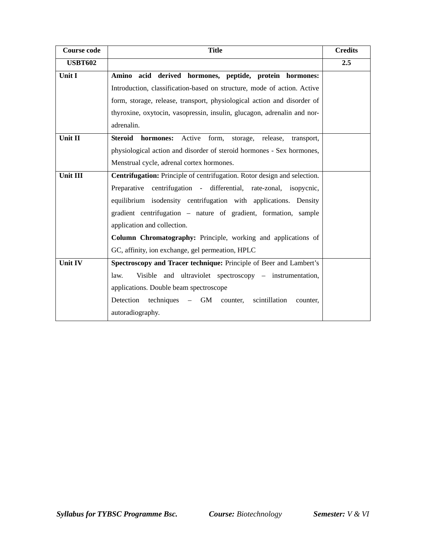| <b>Course code</b> | <b>Title</b>                                                                         | <b>Credits</b> |
|--------------------|--------------------------------------------------------------------------------------|----------------|
| <b>USBT602</b>     |                                                                                      | 2.5            |
| Unit I             | Amino acid derived hormones, peptide, protein hormones:                              |                |
|                    | Introduction, classification-based on structure, mode of action. Active              |                |
|                    | form, storage, release, transport, physiological action and disorder of              |                |
|                    | thyroxine, oxytocin, vasopressin, insulin, glucagon, adrenalin and nor-              |                |
|                    | adrenalin.                                                                           |                |
| Unit II            | <b>Steroid</b><br>Active<br>form,<br>storage,<br>hormones:<br>release,<br>transport, |                |
|                    | physiological action and disorder of steroid hormones - Sex hormones,                |                |
|                    | Menstrual cycle, adrenal cortex hormones.                                            |                |
| Unit III           | <b>Centrifugation:</b> Principle of centrifugation. Rotor design and selection.      |                |
|                    | Preparative centrifugation - differential, rate-zonal, isopycnic,                    |                |
|                    | equilibrium isodensity centrifugation with applications. Density                     |                |
|                    | gradient centrifugation - nature of gradient, formation, sample                      |                |
|                    | application and collection.                                                          |                |
|                    | Column Chromatography: Principle, working and applications of                        |                |
|                    | GC, affinity, ion exchange, gel permeation, HPLC                                     |                |
| Unit IV            | Spectroscopy and Tracer technique: Principle of Beer and Lambert's                   |                |
|                    | Visible and ultraviolet spectroscopy – instrumentation,<br>law.                      |                |
|                    | applications. Double beam spectroscope                                               |                |
|                    | Detection techniques – GM counter,<br>scintillation<br>counter.                      |                |
|                    | autoradiography.                                                                     |                |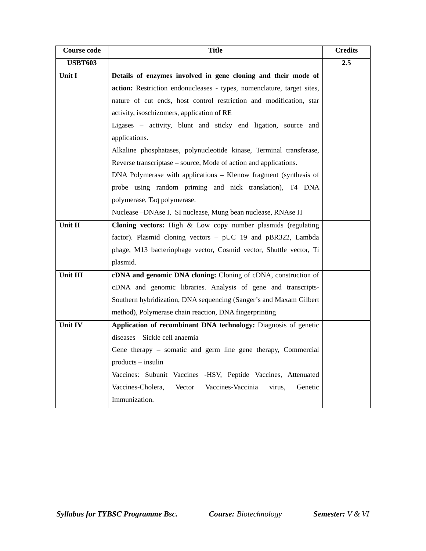| <b>Course code</b> | <b>Title</b>                                                           | <b>Credits</b> |
|--------------------|------------------------------------------------------------------------|----------------|
| <b>USBT603</b>     |                                                                        | 2.5            |
| Unit I             | Details of enzymes involved in gene cloning and their mode of          |                |
|                    | action: Restriction endonucleases - types, nomenclature, target sites, |                |
|                    | nature of cut ends, host control restriction and modification, star    |                |
|                    | activity, isoschizomers, application of RE                             |                |
|                    | Ligases - activity, blunt and sticky end ligation, source and          |                |
|                    | applications.                                                          |                |
|                    | Alkaline phosphatases, polynucleotide kinase, Terminal transferase,    |                |
|                    | Reverse transcriptase – source, Mode of action and applications.       |                |
|                    | DNA Polymerase with applications – Klenow fragment (synthesis of       |                |
|                    | probe using random priming and nick translation), T4 DNA               |                |
|                    | polymerase, Taq polymerase.                                            |                |
|                    | Nuclease -DNAse I, SI nuclease, Mung bean nuclease, RNAse H            |                |
| Unit II            | Cloning vectors: High & Low copy number plasmids (regulating           |                |
|                    | factor). Plasmid cloning vectors - pUC 19 and pBR322, Lambda           |                |
|                    | phage, M13 bacteriophage vector, Cosmid vector, Shuttle vector, Ti     |                |
|                    | plasmid.                                                               |                |
| Unit III           | cDNA and genomic DNA cloning: Cloning of cDNA, construction of         |                |
|                    | cDNA and genomic libraries. Analysis of gene and transcripts-          |                |
|                    | Southern hybridization, DNA sequencing (Sanger's and Maxam Gilbert     |                |
|                    | method), Polymerase chain reaction, DNA fingerprinting                 |                |
| Unit IV            | Application of recombinant DNA technology: Diagnosis of genetic        |                |
|                    | diseases - Sickle cell anaemia                                         |                |
|                    | Gene therapy – somatic and germ line gene therapy, Commercial          |                |
|                    | products - insulin                                                     |                |
|                    | Vaccines: Subunit Vaccines -HSV, Peptide Vaccines, Attenuated          |                |
|                    | Vaccines-Cholera,<br>Vector<br>Vaccines-Vaccinia<br>Genetic<br>virus,  |                |
|                    | Immunization.                                                          |                |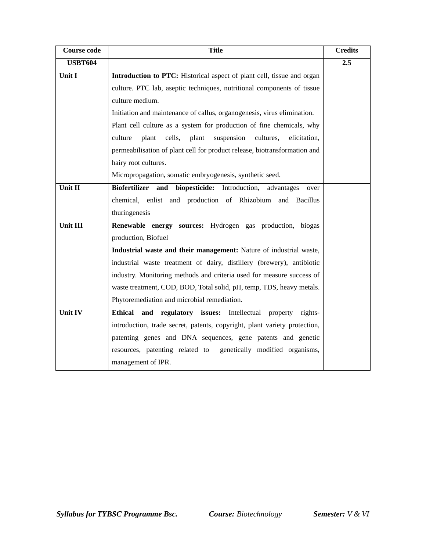| <b>Course code</b> | <b>Title</b><br><b>Credits</b>                                                   |     |  |
|--------------------|----------------------------------------------------------------------------------|-----|--|
| <b>USBT604</b>     |                                                                                  | 2.5 |  |
| Unit I             | Introduction to PTC: Historical aspect of plant cell, tissue and organ           |     |  |
|                    | culture. PTC lab, aseptic techniques, nutritional components of tissue           |     |  |
|                    | culture medium.                                                                  |     |  |
|                    | Initiation and maintenance of callus, organogenesis, virus elimination.          |     |  |
|                    | Plant cell culture as a system for production of fine chemicals, why             |     |  |
|                    | plant cells, plant<br>suspension<br>cultures,<br>culture<br>elicitation,         |     |  |
|                    | permeabilisation of plant cell for product release, biotransformation and        |     |  |
|                    | hairy root cultures.                                                             |     |  |
|                    | Micropropagation, somatic embryogenesis, synthetic seed.                         |     |  |
| Unit II            | <b>Biofertilizer</b><br>biopesticide: Introduction,<br>and<br>advantages<br>over |     |  |
|                    | chemical, enlist and production of Rhizobium and Bacillus                        |     |  |
|                    | thuringenesis                                                                    |     |  |
| Unit III           | Renewable energy sources: Hydrogen gas production, biogas                        |     |  |
|                    | production, Biofuel                                                              |     |  |
|                    | Industrial waste and their management: Nature of industrial waste,               |     |  |
|                    | industrial waste treatment of dairy, distillery (brewery), antibiotic            |     |  |
|                    | industry. Monitoring methods and criteria used for measure success of            |     |  |
|                    | waste treatment, COD, BOD, Total solid, pH, temp, TDS, heavy metals.             |     |  |
|                    | Phytoremediation and microbial remediation.                                      |     |  |
| <b>Unit IV</b>     | Ethical and regulatory issues: Intellectual<br>property rights-                  |     |  |
|                    | introduction, trade secret, patents, copyright, plant variety protection,        |     |  |
|                    | patenting genes and DNA sequences, gene patents and genetic                      |     |  |
|                    | resources, patenting related to<br>genetically modified organisms,               |     |  |
|                    | management of IPR.                                                               |     |  |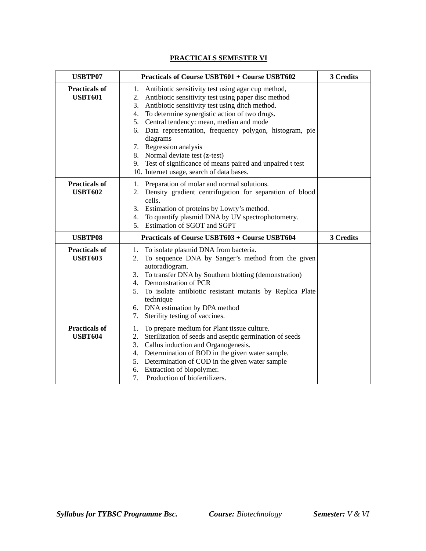# **PRACTICALS SEMESTER VI**

| <b>USBTP07</b>                         | <b>Practicals of Course USBT601 + Course USBT602</b>                                                                                                                                                                                                                                                                                                                                                                                                                                                                         | 3 Credits |
|----------------------------------------|------------------------------------------------------------------------------------------------------------------------------------------------------------------------------------------------------------------------------------------------------------------------------------------------------------------------------------------------------------------------------------------------------------------------------------------------------------------------------------------------------------------------------|-----------|
| <b>Practicals of</b><br><b>USBT601</b> | 1. Antibiotic sensitivity test using agar cup method,<br>2. Antibiotic sensitivity test using paper disc method<br>Antibiotic sensitivity test using ditch method.<br>3.<br>4. To determine synergistic action of two drugs.<br>5. Central tendency: mean, median and mode<br>6. Data representation, frequency polygon, histogram, pie<br>diagrams<br>7. Regression analysis<br>8. Normal deviate test (z-test)<br>9. Test of significance of means paired and unpaired t test<br>10. Internet usage, search of data bases. |           |
| <b>Practicals of</b><br><b>USBT602</b> | 1. Preparation of molar and normal solutions.<br>2. Density gradient centrifugation for separation of blood<br>cells.<br>3. Estimation of proteins by Lowry's method.<br>To quantify plasmid DNA by UV spectrophotometry.<br>4.<br>5. Estimation of SGOT and SGPT                                                                                                                                                                                                                                                            |           |
| <b>USBTP08</b>                         | <b>Practicals of Course USBT603 + Course USBT604</b>                                                                                                                                                                                                                                                                                                                                                                                                                                                                         | 3 Credits |
| <b>Practicals of</b><br><b>USBT603</b> | 1. To isolate plasmid DNA from bacteria.<br>To sequence DNA by Sanger's method from the given<br>2.<br>autoradiogram.<br>3. To transfer DNA by Southern blotting (demonstration)<br>4. Demonstration of PCR<br>To isolate antibiotic resistant mutants by Replica Plate<br>5.<br>technique<br>6. DNA estimation by DPA method<br>Sterility testing of vaccines.<br>7.                                                                                                                                                        |           |
| <b>Practicals of</b><br><b>USBT604</b> | To prepare medium for Plant tissue culture.<br>1.<br>Sterilization of seeds and aseptic germination of seeds<br>2.<br>Callus induction and Organogenesis.<br>3.<br>4. Determination of BOD in the given water sample.<br>5. Determination of COD in the given water sample<br>6. Extraction of biopolymer.<br>Production of biofertilizers.<br>7.                                                                                                                                                                            |           |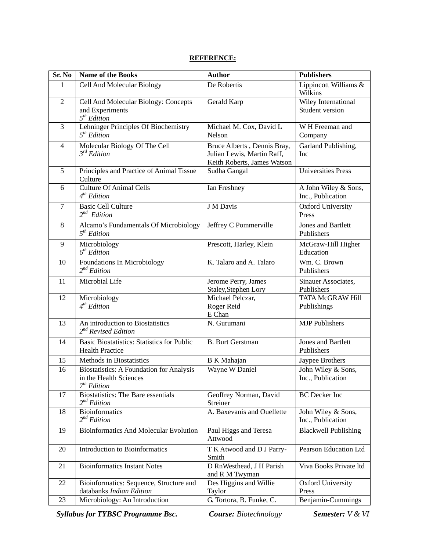#### **REFERENCE:**

| Sr. No         | <b>Name of the Books</b>                                                                             | <b>Author</b>                                                                            | <b>Publishers</b>                         |
|----------------|------------------------------------------------------------------------------------------------------|------------------------------------------------------------------------------------------|-------------------------------------------|
| 1              | Cell And Molecular Biology                                                                           | De Robertis                                                                              | Lippincott Williams &<br>Wilkins          |
| $\overline{2}$ | Cell And Molecular Biology: Concepts<br>and Experiments<br>5 <sup>th</sup> Edition                   | Gerald Karp                                                                              | Wiley International<br>Student version    |
| $\overline{3}$ | Lehninger Principles Of Biochemistry<br>5 <sup>th</sup> Edition                                      | Michael M. Cox, David L<br>Nelson                                                        | W H Freeman and<br>Company                |
| $\overline{4}$ | Molecular Biology Of The Cell<br>$3^{rd}$ Edition                                                    | Bruce Alberts, Dennis Bray,<br>Julian Lewis, Martin Raff,<br>Keith Roberts, James Watson | Garland Publishing,<br>Inc                |
| 5              | Principles and Practice of Animal Tissue<br>Culture                                                  | Sudha Gangal                                                                             | <b>Universities Press</b>                 |
| 6              | <b>Culture Of Animal Cells</b><br>4 <sup>th</sup> Edition                                            | Ian Freshney                                                                             | A John Wiley & Sons,<br>Inc., Publication |
| $\tau$         | <b>Basic Cell Culture</b><br>$2^{nd}$ Edition                                                        | J M Davis                                                                                | <b>Oxford University</b><br>Press         |
| 8              | Alcamo's Fundamentals Of Microbiology<br>5 <sup>th</sup> Edition                                     | Jeffrey C Pommerville                                                                    | Jones and Bartlett<br>Publishers          |
| 9              | Microbiology<br>6 <sup>th</sup> Edition                                                              | Prescott, Harley, Klein                                                                  | McGraw-Hill Higher<br>Education           |
| 10             | Foundations In Microbiology<br>$2^{nd}$ Edition                                                      | K. Talaro and A. Talaro                                                                  | Wm. C. Brown<br>Publishers                |
| 11             | Microbial Life                                                                                       | Jerome Perry, James<br>Staley, Stephen Lory                                              | Sinauer Associates,<br>Publishers         |
| 12             | Microbiology<br>4 <sup>th</sup> Edition                                                              | Michael Pelczar,<br>Roger Reid<br>E Chan                                                 | <b>TATA McGRAW Hill</b><br>Publishings    |
| 13             | An introduction to Biostatistics<br>$2^{nd}$ Revised Edition                                         | N. Gurumani                                                                              | <b>MJP</b> Publishers                     |
| 14             | Basic Biostatistics: Statistics for Public<br><b>Health Practice</b>                                 | <b>B.</b> Burt Gerstman                                                                  | <b>Jones and Bartlett</b><br>Publishers   |
| 15             | Methods in Biostatistics                                                                             | <b>B</b> K Mahajan                                                                       | Jaypee Brothers                           |
| 16             | <b>Biostatistics: A Foundation for Analysis</b><br>in the Health Sciences<br>7 <sup>th</sup> Edition | Wayne W Daniel                                                                           | John Wiley & Sons,<br>Inc., Publication   |
| 17             | <b>Biostatistics:</b> The Bare essentials<br>$2^{nd}$ Edition                                        | Geoffrey Norman, David<br>Streiner                                                       | <b>BC</b> Decker Inc                      |
| 18             | <b>Bioinformatics</b><br>$2^{nd}$ Edition                                                            | A. Baxevanis and Ouellette                                                               | John Wiley & Sons,<br>Inc., Publication   |
| 19             | <b>Bioinformatics And Molecular Evolution</b>                                                        | Paul Higgs and Teresa<br>Attwood                                                         | <b>Blackwell Publishing</b>               |
| 20             | <b>Introduction to Bioinformatics</b>                                                                | T K Atwood and D J Parry-<br>Smith                                                       | Pearson Education Ltd                     |
| 21             | <b>Bioinformatics Instant Notes</b>                                                                  | D RnWesthead, J H Parish<br>and R M Twyman                                               | Viva Books Private ltd                    |
| 22             | Bioinformatics: Sequence, Structure and<br>databanks Indian Edition                                  | Des Higgins and Willie<br>Taylor                                                         | <b>Oxford University</b><br>Press         |
| 23             | Microbiology: An Introduction                                                                        | G. Tortora, B. Funke, C.                                                                 | Benjamin-Cummings                         |

*Syllabus for TYBSC Programme Bsc. Course: Biotechnology Semester: V & VI*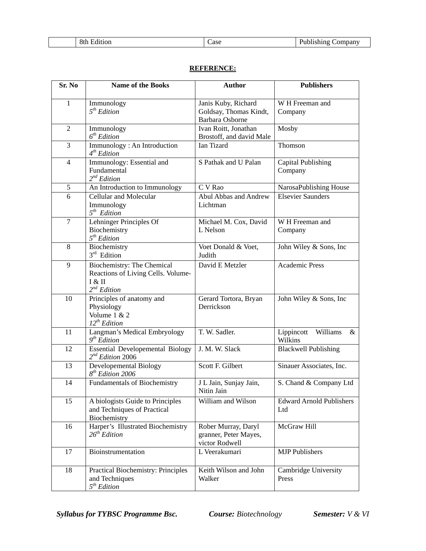### **REFERENCE:**

| Sr. No         | <b>Name of the Books</b>                                                                              | <b>Author</b>                                                  | <b>Publishers</b>                      |
|----------------|-------------------------------------------------------------------------------------------------------|----------------------------------------------------------------|----------------------------------------|
| 1              | Immunology<br>5 <sup>th</sup> Edition                                                                 | Janis Kuby, Richard<br>Goldsay, Thomas Kindt,                  | W H Freeman and<br>Company             |
|                |                                                                                                       | <b>Barbara Osborne</b>                                         |                                        |
| $\overline{2}$ | Immunology<br>6 <sup>th</sup> Edition                                                                 | Ivan Roitt, Jonathan<br>Brostoff, and david Male               | Mosby                                  |
| 3              | Immunology: An Introduction<br>4 <sup>th</sup> Edition                                                | Ian Tizard                                                     | Thomson                                |
| $\overline{4}$ | Immunology: Essential and<br>Fundamental<br>$2^{nd}$ Edition                                          | S Pathak and U Palan                                           | <b>Capital Publishing</b><br>Company   |
| 5              | An Introduction to Immunology                                                                         | C V Rao                                                        | NarosaPublishing House                 |
| 6              | Cellular and Molecular<br>Immunology<br>$5th$ Edition                                                 | Abul Abbas and Andrew<br>Lichtman                              | <b>Elsevier Saunders</b>               |
| $\overline{7}$ | Lehninger Principles Of<br>Biochemistry<br>5 <sup>th</sup> Edition                                    | Michael M. Cox, David<br>L Nelson                              | W H Freeman and<br>Company             |
| 8              | Biochemistry<br>$3rd$ Edition                                                                         | Voet Donald & Voet,<br>Judith                                  | John Wiley & Sons, Inc.                |
| 9              | <b>Biochemistry: The Chemical</b><br>Reactions of Living Cells. Volume-<br>I & II<br>$2^{nd}$ Edition | David E Metzler                                                | <b>Academic Press</b>                  |
| 10             | Principles of anatomy and<br>Physiology<br>Volume $1 & 2$<br>$12^{th}$ Edition                        | Gerard Tortora, Bryan<br>Derrickson                            | John Wiley & Sons, Inc.                |
| 11             | Langman's Medical Embryology<br>$9th$ Edition                                                         | T. W. Sadler.                                                  | Lippincott<br>Williams<br>&<br>Wilkins |
| 12             | <b>Essential Developemental Biology</b><br>$2^{nd}$ Edition 2006                                      | J. M. W. Slack                                                 | <b>Blackwell Publishing</b>            |
| 13             | Developemental Biology<br>$8th$ Edition 2006                                                          | Scott F. Gilbert                                               | Sinauer Associates, Inc.               |
| 14             | <b>Fundamentals of Biochemistry</b>                                                                   | J L Jain, Sunjay Jain,<br>Nitin Jain                           | S. Chand & Company Ltd                 |
| 15             | A biologists Guide to Principles<br>and Techniques of Practical<br>Biochemistry                       | William and Wilson                                             | <b>Edward Arnold Publishers</b><br>Ltd |
| 16             | Harper's Illustrated Biochemistry<br>$26^{th}$ Edition                                                | Rober Murray, Daryl<br>granner, Peter Mayes,<br>victor Rodwell | McGraw Hill                            |
| 17             | Bioinstrumentation                                                                                    | L Veerakumari                                                  | <b>MJP</b> Publishers                  |
| 18             | Practical Biochemistry: Principles<br>and Techniques<br>5 <sup>th</sup> Edition                       | Keith Wilson and John<br>Walker                                | Cambridge University<br>Press          |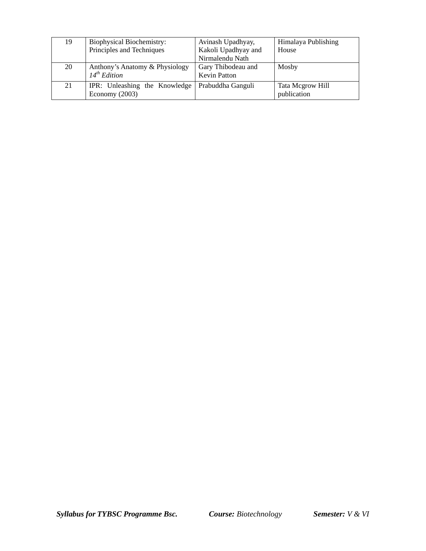| 19 | <b>Biophysical Biochemistry:</b><br>Principles and Techniques | Avinash Upadhyay,<br>Kakoli Upadhyay and<br>Nirmalendu Nath | Himalaya Publishing<br>House    |
|----|---------------------------------------------------------------|-------------------------------------------------------------|---------------------------------|
| 20 | Anthony's Anatomy & Physiology<br>$14^{th}$ Edition           | Gary Thibodeau and<br><b>Kevin Patton</b>                   | Mosby                           |
| 21 | IPR: Unleashing the Knowledge<br>Economy $(2003)$             | Prabuddha Ganguli                                           | Tata Mcgrow Hill<br>publication |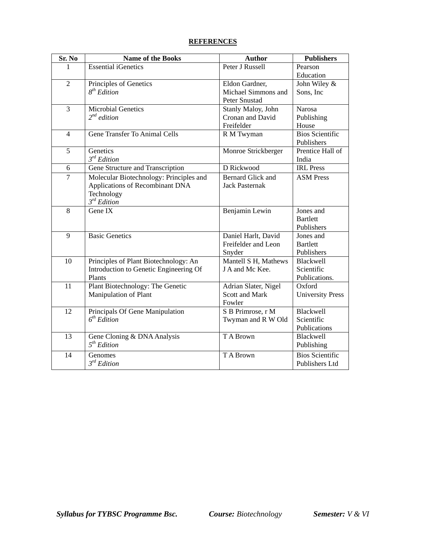#### **REFERENCES**

| Peter J Russell<br>Pearson<br>1<br>Education<br>$\mathfrak{2}$<br>Principles of Genetics<br>John Wiley &<br>Eldon Gardner,<br>$8^{th}$ Edition<br>Michael Simmons and<br>Sons, Inc<br>Peter Snustad<br>3<br><b>Microbial Genetics</b><br><b>Narosa</b><br>Stanly Maloy, John<br>$2^{nd}$ edition<br>Cronan and David<br>Publishing<br>Freifelder<br>House<br>Gene Transfer To Animal Cells<br><b>Bios Scientific</b><br>$\overline{4}$<br>R M Twyman<br>Publishers<br>Genetics<br>Prentice Hall of<br>5<br>Monroe Strickberger<br>$3^{rd}$ Edition<br>India<br>D Rickwood<br><b>IRL</b> Press<br>Gene Structure and Transcription<br>6<br><b>Bernard Glick and</b><br>$\tau$<br><b>ASM Press</b><br>Molecular Biotechnology: Principles and<br>Applications of Recombinant DNA<br><b>Jack Pasternak</b><br>Technology<br>$3^{rd}$ Edition<br>8<br>Gene IX<br>Jones and<br>Benjamin Lewin<br><b>Bartlett</b><br>Publishers<br><b>Basic Genetics</b><br>9<br>Daniel Harlt, David<br>Jones and<br>Freifelder and Leon<br><b>Bartlett</b><br>Publishers<br>Snyder<br>Mantell S H, Mathews<br>10<br>Principles of Plant Biotechnology: An<br><b>Blackwell</b><br>J A and Mc Kee.<br>Scientific<br>Introduction to Genetic Engineering Of<br>Plants<br>Publications.<br>Plant Biotechnology: The Genetic<br>11<br>Adrian Slater, Nigel<br>Oxford<br>Manipulation of Plant<br><b>Scott and Mark</b><br><b>University Press</b><br>Fowler<br>12<br>Blackwell<br>Principals Of Gene Manipulation<br>S B Primrose, r M<br>6 <sup>th</sup> Edition<br>Scientific<br>Twyman and R W Old<br>Publications<br>13<br>Gene Cloning & DNA Analysis<br>TA Brown<br>Blackwell<br>5 <sup>th</sup> Edition<br>Publishing<br><b>Bios Scientific</b><br>14<br>T A Brown<br>Genomes<br>$3^{rd}$ Edition<br>Publishers Ltd | Sr. No | <b>Name of the Books</b>   | <b>Author</b> | <b>Publishers</b> |
|--------------------------------------------------------------------------------------------------------------------------------------------------------------------------------------------------------------------------------------------------------------------------------------------------------------------------------------------------------------------------------------------------------------------------------------------------------------------------------------------------------------------------------------------------------------------------------------------------------------------------------------------------------------------------------------------------------------------------------------------------------------------------------------------------------------------------------------------------------------------------------------------------------------------------------------------------------------------------------------------------------------------------------------------------------------------------------------------------------------------------------------------------------------------------------------------------------------------------------------------------------------------------------------------------------------------------------------------------------------------------------------------------------------------------------------------------------------------------------------------------------------------------------------------------------------------------------------------------------------------------------------------------------------------------------------------------------------------------------------------------------------------------------------------------|--------|----------------------------|---------------|-------------------|
|                                                                                                                                                                                                                                                                                                                                                                                                                                                                                                                                                                                                                                                                                                                                                                                                                                                                                                                                                                                                                                                                                                                                                                                                                                                                                                                                                                                                                                                                                                                                                                                                                                                                                                                                                                                                  |        | <b>Essential iGenetics</b> |               |                   |
|                                                                                                                                                                                                                                                                                                                                                                                                                                                                                                                                                                                                                                                                                                                                                                                                                                                                                                                                                                                                                                                                                                                                                                                                                                                                                                                                                                                                                                                                                                                                                                                                                                                                                                                                                                                                  |        |                            |               |                   |
|                                                                                                                                                                                                                                                                                                                                                                                                                                                                                                                                                                                                                                                                                                                                                                                                                                                                                                                                                                                                                                                                                                                                                                                                                                                                                                                                                                                                                                                                                                                                                                                                                                                                                                                                                                                                  |        |                            |               |                   |
|                                                                                                                                                                                                                                                                                                                                                                                                                                                                                                                                                                                                                                                                                                                                                                                                                                                                                                                                                                                                                                                                                                                                                                                                                                                                                                                                                                                                                                                                                                                                                                                                                                                                                                                                                                                                  |        |                            |               |                   |
|                                                                                                                                                                                                                                                                                                                                                                                                                                                                                                                                                                                                                                                                                                                                                                                                                                                                                                                                                                                                                                                                                                                                                                                                                                                                                                                                                                                                                                                                                                                                                                                                                                                                                                                                                                                                  |        |                            |               |                   |
|                                                                                                                                                                                                                                                                                                                                                                                                                                                                                                                                                                                                                                                                                                                                                                                                                                                                                                                                                                                                                                                                                                                                                                                                                                                                                                                                                                                                                                                                                                                                                                                                                                                                                                                                                                                                  |        |                            |               |                   |
|                                                                                                                                                                                                                                                                                                                                                                                                                                                                                                                                                                                                                                                                                                                                                                                                                                                                                                                                                                                                                                                                                                                                                                                                                                                                                                                                                                                                                                                                                                                                                                                                                                                                                                                                                                                                  |        |                            |               |                   |
|                                                                                                                                                                                                                                                                                                                                                                                                                                                                                                                                                                                                                                                                                                                                                                                                                                                                                                                                                                                                                                                                                                                                                                                                                                                                                                                                                                                                                                                                                                                                                                                                                                                                                                                                                                                                  |        |                            |               |                   |
|                                                                                                                                                                                                                                                                                                                                                                                                                                                                                                                                                                                                                                                                                                                                                                                                                                                                                                                                                                                                                                                                                                                                                                                                                                                                                                                                                                                                                                                                                                                                                                                                                                                                                                                                                                                                  |        |                            |               |                   |
|                                                                                                                                                                                                                                                                                                                                                                                                                                                                                                                                                                                                                                                                                                                                                                                                                                                                                                                                                                                                                                                                                                                                                                                                                                                                                                                                                                                                                                                                                                                                                                                                                                                                                                                                                                                                  |        |                            |               |                   |
|                                                                                                                                                                                                                                                                                                                                                                                                                                                                                                                                                                                                                                                                                                                                                                                                                                                                                                                                                                                                                                                                                                                                                                                                                                                                                                                                                                                                                                                                                                                                                                                                                                                                                                                                                                                                  |        |                            |               |                   |
|                                                                                                                                                                                                                                                                                                                                                                                                                                                                                                                                                                                                                                                                                                                                                                                                                                                                                                                                                                                                                                                                                                                                                                                                                                                                                                                                                                                                                                                                                                                                                                                                                                                                                                                                                                                                  |        |                            |               |                   |
|                                                                                                                                                                                                                                                                                                                                                                                                                                                                                                                                                                                                                                                                                                                                                                                                                                                                                                                                                                                                                                                                                                                                                                                                                                                                                                                                                                                                                                                                                                                                                                                                                                                                                                                                                                                                  |        |                            |               |                   |
|                                                                                                                                                                                                                                                                                                                                                                                                                                                                                                                                                                                                                                                                                                                                                                                                                                                                                                                                                                                                                                                                                                                                                                                                                                                                                                                                                                                                                                                                                                                                                                                                                                                                                                                                                                                                  |        |                            |               |                   |
|                                                                                                                                                                                                                                                                                                                                                                                                                                                                                                                                                                                                                                                                                                                                                                                                                                                                                                                                                                                                                                                                                                                                                                                                                                                                                                                                                                                                                                                                                                                                                                                                                                                                                                                                                                                                  |        |                            |               |                   |
|                                                                                                                                                                                                                                                                                                                                                                                                                                                                                                                                                                                                                                                                                                                                                                                                                                                                                                                                                                                                                                                                                                                                                                                                                                                                                                                                                                                                                                                                                                                                                                                                                                                                                                                                                                                                  |        |                            |               |                   |
|                                                                                                                                                                                                                                                                                                                                                                                                                                                                                                                                                                                                                                                                                                                                                                                                                                                                                                                                                                                                                                                                                                                                                                                                                                                                                                                                                                                                                                                                                                                                                                                                                                                                                                                                                                                                  |        |                            |               |                   |
|                                                                                                                                                                                                                                                                                                                                                                                                                                                                                                                                                                                                                                                                                                                                                                                                                                                                                                                                                                                                                                                                                                                                                                                                                                                                                                                                                                                                                                                                                                                                                                                                                                                                                                                                                                                                  |        |                            |               |                   |
|                                                                                                                                                                                                                                                                                                                                                                                                                                                                                                                                                                                                                                                                                                                                                                                                                                                                                                                                                                                                                                                                                                                                                                                                                                                                                                                                                                                                                                                                                                                                                                                                                                                                                                                                                                                                  |        |                            |               |                   |
|                                                                                                                                                                                                                                                                                                                                                                                                                                                                                                                                                                                                                                                                                                                                                                                                                                                                                                                                                                                                                                                                                                                                                                                                                                                                                                                                                                                                                                                                                                                                                                                                                                                                                                                                                                                                  |        |                            |               |                   |
|                                                                                                                                                                                                                                                                                                                                                                                                                                                                                                                                                                                                                                                                                                                                                                                                                                                                                                                                                                                                                                                                                                                                                                                                                                                                                                                                                                                                                                                                                                                                                                                                                                                                                                                                                                                                  |        |                            |               |                   |
|                                                                                                                                                                                                                                                                                                                                                                                                                                                                                                                                                                                                                                                                                                                                                                                                                                                                                                                                                                                                                                                                                                                                                                                                                                                                                                                                                                                                                                                                                                                                                                                                                                                                                                                                                                                                  |        |                            |               |                   |
|                                                                                                                                                                                                                                                                                                                                                                                                                                                                                                                                                                                                                                                                                                                                                                                                                                                                                                                                                                                                                                                                                                                                                                                                                                                                                                                                                                                                                                                                                                                                                                                                                                                                                                                                                                                                  |        |                            |               |                   |
|                                                                                                                                                                                                                                                                                                                                                                                                                                                                                                                                                                                                                                                                                                                                                                                                                                                                                                                                                                                                                                                                                                                                                                                                                                                                                                                                                                                                                                                                                                                                                                                                                                                                                                                                                                                                  |        |                            |               |                   |
|                                                                                                                                                                                                                                                                                                                                                                                                                                                                                                                                                                                                                                                                                                                                                                                                                                                                                                                                                                                                                                                                                                                                                                                                                                                                                                                                                                                                                                                                                                                                                                                                                                                                                                                                                                                                  |        |                            |               |                   |
|                                                                                                                                                                                                                                                                                                                                                                                                                                                                                                                                                                                                                                                                                                                                                                                                                                                                                                                                                                                                                                                                                                                                                                                                                                                                                                                                                                                                                                                                                                                                                                                                                                                                                                                                                                                                  |        |                            |               |                   |
|                                                                                                                                                                                                                                                                                                                                                                                                                                                                                                                                                                                                                                                                                                                                                                                                                                                                                                                                                                                                                                                                                                                                                                                                                                                                                                                                                                                                                                                                                                                                                                                                                                                                                                                                                                                                  |        |                            |               |                   |
|                                                                                                                                                                                                                                                                                                                                                                                                                                                                                                                                                                                                                                                                                                                                                                                                                                                                                                                                                                                                                                                                                                                                                                                                                                                                                                                                                                                                                                                                                                                                                                                                                                                                                                                                                                                                  |        |                            |               |                   |
|                                                                                                                                                                                                                                                                                                                                                                                                                                                                                                                                                                                                                                                                                                                                                                                                                                                                                                                                                                                                                                                                                                                                                                                                                                                                                                                                                                                                                                                                                                                                                                                                                                                                                                                                                                                                  |        |                            |               |                   |
|                                                                                                                                                                                                                                                                                                                                                                                                                                                                                                                                                                                                                                                                                                                                                                                                                                                                                                                                                                                                                                                                                                                                                                                                                                                                                                                                                                                                                                                                                                                                                                                                                                                                                                                                                                                                  |        |                            |               |                   |
|                                                                                                                                                                                                                                                                                                                                                                                                                                                                                                                                                                                                                                                                                                                                                                                                                                                                                                                                                                                                                                                                                                                                                                                                                                                                                                                                                                                                                                                                                                                                                                                                                                                                                                                                                                                                  |        |                            |               |                   |
|                                                                                                                                                                                                                                                                                                                                                                                                                                                                                                                                                                                                                                                                                                                                                                                                                                                                                                                                                                                                                                                                                                                                                                                                                                                                                                                                                                                                                                                                                                                                                                                                                                                                                                                                                                                                  |        |                            |               |                   |
|                                                                                                                                                                                                                                                                                                                                                                                                                                                                                                                                                                                                                                                                                                                                                                                                                                                                                                                                                                                                                                                                                                                                                                                                                                                                                                                                                                                                                                                                                                                                                                                                                                                                                                                                                                                                  |        |                            |               |                   |
|                                                                                                                                                                                                                                                                                                                                                                                                                                                                                                                                                                                                                                                                                                                                                                                                                                                                                                                                                                                                                                                                                                                                                                                                                                                                                                                                                                                                                                                                                                                                                                                                                                                                                                                                                                                                  |        |                            |               |                   |
|                                                                                                                                                                                                                                                                                                                                                                                                                                                                                                                                                                                                                                                                                                                                                                                                                                                                                                                                                                                                                                                                                                                                                                                                                                                                                                                                                                                                                                                                                                                                                                                                                                                                                                                                                                                                  |        |                            |               |                   |
|                                                                                                                                                                                                                                                                                                                                                                                                                                                                                                                                                                                                                                                                                                                                                                                                                                                                                                                                                                                                                                                                                                                                                                                                                                                                                                                                                                                                                                                                                                                                                                                                                                                                                                                                                                                                  |        |                            |               |                   |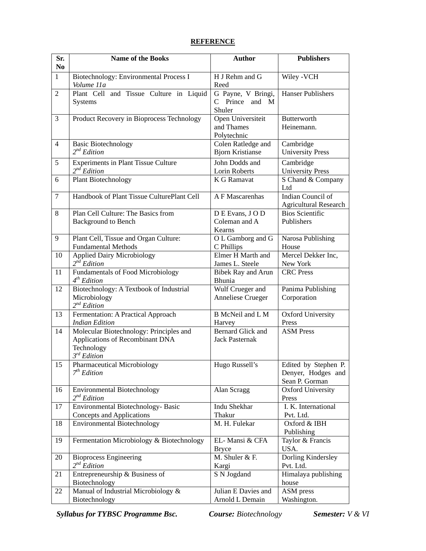#### **REFERENCE**

| Sr.<br>N <sub>0</sub> | <b>Name of the Books</b>                                                                                     | <b>Author</b>                                     | <b>Publishers</b>                                            |
|-----------------------|--------------------------------------------------------------------------------------------------------------|---------------------------------------------------|--------------------------------------------------------------|
| $\mathbf{1}$          | Biotechnology: Environmental Process I<br>Volume 11a                                                         | H J Rehm and G<br>Reed                            | Wiley - VCH                                                  |
| $\overline{2}$        | Plant Cell and Tissue Culture in Liquid<br>Systems                                                           | G Payne, V Bringi,<br>C Prince and M<br>Shuler    | <b>Hanser Publishers</b>                                     |
| $\overline{3}$        | Product Recovery in Bioprocess Technology                                                                    | Open Universiteit<br>and Thames<br>Polytechnic    | <b>Butterworth</b><br>Heinemann.                             |
| $\overline{4}$        | <b>Basic Biotechnology</b><br>$2^{nd}$ Edition                                                               | Colen Ratledge and<br><b>Bjorn Kristianse</b>     | Cambridge<br><b>University Press</b>                         |
| 5                     | <b>Experiments in Plant Tissue Culture</b><br>$2^{nd}$ Edition                                               | John Dodds and<br>Lorin Roberts                   | Cambridge<br><b>University Press</b>                         |
| 6                     | <b>Plant Biotechnology</b>                                                                                   | K G Ramavat                                       | S Chand & Company<br>Ltd                                     |
| $\overline{7}$        | Handbook of Plant Tissue CulturePlant Cell                                                                   | A F Mascarenhas                                   | Indian Council of<br><b>Agricultural Research</b>            |
| 8                     | Plan Cell Culture: The Basics from<br><b>Background to Bench</b>                                             | DE Evans, JOD<br>Coleman and A<br>Kearns          | <b>Bios Scientific</b><br>Publishers                         |
| 9                     | Plant Cell, Tissue and Organ Culture:<br><b>Fundamental Methods</b>                                          | O L Gamborg and G<br>C Phillips                   | Narosa Publishing<br>House                                   |
| 10                    | <b>Applied Dairy Microbiology</b><br>$2^{nd}$ Edition                                                        | Elmer H Marth and<br>James L. Steele              | Mercel Dekker Inc,<br>New York                               |
| 11                    | <b>Fundamentals of Food Microbiology</b><br>4 <sup>th</sup> Edition                                          | <b>Bibek Ray and Arun</b><br>Bhunia               | <b>CRC</b> Press                                             |
| 12                    | Biotechnology: A Textbook of Industrial<br>Microbiology<br>$2^{nd}$ Edition                                  | Wulf Crueger and<br>Anneliese Crueger             | Panima Publishing<br>Corporation                             |
| 13                    | Fermentation: A Practical Approach<br><b>Indian Edition</b>                                                  | <b>B</b> McNeil and L M<br>Harvey                 | <b>Oxford University</b><br>Press                            |
| 14                    | Molecular Biotechnology: Principles and<br>Applications of Recombinant DNA<br>Technology<br>$3^{rd}$ Edition | <b>Bernard Glick and</b><br><b>Jack Pasternak</b> | <b>ASM Press</b>                                             |
| 15                    | Pharmaceutical Microbiology<br>7 <sup>th</sup> Edition                                                       | Hugo Russell's                                    | Edited by Stephen P.<br>Denyer, Hodges and<br>Sean P. Gorman |
| 16                    | <b>Environmental Biotechnology</b><br>$2^{nd}$ Edition                                                       | Alan Scragg                                       | <b>Oxford University</b><br>Press                            |
| 17                    | Environmental Biotechnology- Basic<br>Concepts and Applications                                              | Indu Shekhar<br>Thakur                            | I. K. International<br>Pvt. Ltd.                             |
| 18                    | <b>Environmental Biotechnology</b>                                                                           | M. H. Fulekar                                     | Oxford & IBH<br>Publishing                                   |
| 19                    | Fermentation Microbiology & Biotechnology                                                                    | EL-Mansi & CFA<br><b>Bryce</b>                    | Taylor & Francis<br>USA.                                     |
| 20                    | <b>Bioprocess Engineering</b><br>$2^{nd}$ Edition                                                            | M. Shuler & F.<br>Kargi                           | Dorling Kindersley<br>Pvt. Ltd.                              |
| 21                    | Entrepreneurship & Business of<br>Biotechnology                                                              | S N Jogdand                                       | Himalaya publishing<br>house                                 |
| 22                    | Manual of Industrial Microbiology &<br>Biotechnology                                                         | Julian E Davies and<br>Arnold L Demain            | ASM press<br>Washington.                                     |

*Syllabus for TYBSC Programme Bsc. Course: Biotechnology Semester: V & VI*